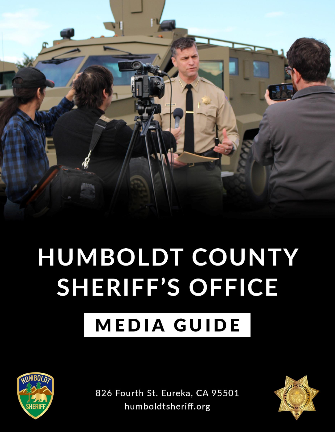

# HUMBOLDT COUNTY SHERIFF'S OFFICE

## **MEDIA GUIDE**



826 Fourth St. Eureka, CA 95501 humboldtsheriff.org

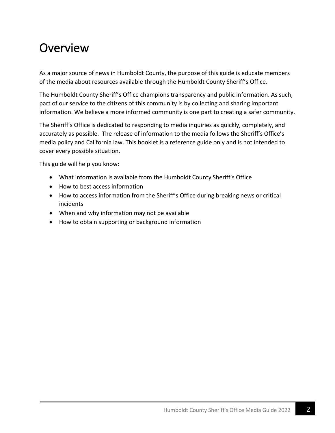## Overview

As a major source of news in Humboldt County, the purpose of this guide is educate members of the media about resources available through the Humboldt County Sheriff's Office.

The Humboldt County Sheriff's Office champions transparency and public information. As such, part of our service to the citizens of this community is by collecting and sharing important information. We believe a more informed community is one part to creating a safer community.

The Sheriff's Office is dedicated to responding to media inquiries as quickly, completely, and accurately as possible. The release of information to the media follows the Sheriff's Office's media policy and California law. This booklet is a reference guide only and is not intended to cover every possible situation.

This guide will help you know:

- What information is available from the Humboldt County Sheriff's Office
- How to best access information
- How to access information from the Sheriff's Office during breaking news or critical incidents
- When and why information may not be available
- How to obtain supporting or background information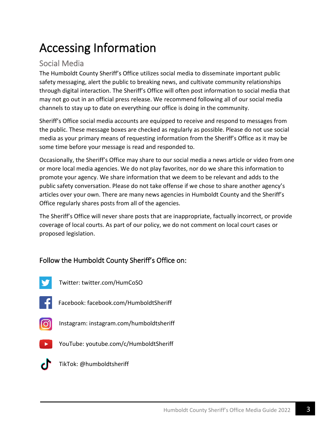## Accessing Information

#### Social Media

The Humboldt County Sheriff's Office utilizes social media to disseminate important public safety messaging, alert the public to breaking news, and cultivate community relationships through digital interaction. The Sheriff's Office will often post information to social media that may not go out in an official press release. We recommend following all of our social media channels to stay up to date on everything our office is doing in the community.

Sheriff's Office social media accounts are equipped to receive and respond to messages from the public. These message boxes are checked as regularly as possible. Please do not use social media as your primary means of requesting information from the Sheriff's Office as it may be some time before your message is read and responded to.

Occasionally, the Sheriff's Office may share to our social media a news article or video from one or more local media agencies. We do not play favorites, nor do we share this information to promote your agency. We share information that we deem to be relevant and adds to the public safety conversation. Please do not take offense if we chose to share another agency's articles over your own. There are many news agencies in Humboldt County and the Sheriff's Office regularly shares posts from all of the agencies.

The Sheriff's Office will never share posts that are inappropriate, factually incorrect, or provide coverage of local courts. As part of our policy, we do not comment on local court cases or proposed legislation.

#### Follow the Humboldt County Sheriff's Office on:

- 
- Twitter: twitter.com/HumCoSO
- 
- Facebook: facebook.com/HumboldtSheriff
- ଚ
	- Instagram: instagram.com/humboldtsheriff
- - YouTube: youtube.com/c/HumboldtSheriff



TikTok: @humboldtsheriff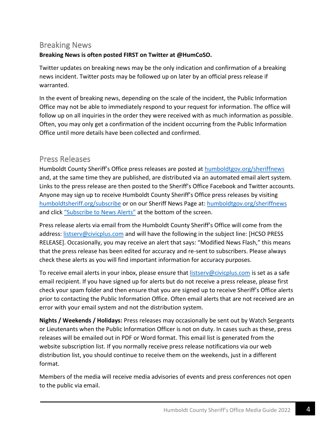#### Breaking News

#### **Breaking News is often posted FIRST on Twitter at @HumCoSO.**

Twitter updates on breaking news may be the only indication and confirmation of a breaking news incident. Twitter posts may be followed up on later by an official press release if warranted.

In the event of breaking news, depending on the scale of the incident, the Public Information Office may not be able to immediately respond to your request for information. The office will follow up on all inquiries in the order they were received with as much information as possible. Often, you may only get a confirmation of the incident occurring from the Public Information Office until more details have been collected and confirmed.

#### Press Releases

Humboldt County Sheriff's Office press releases are posted at [humboldtgov.org/sheriffnews](file://///CTY-FS-01/Sheriff/users/skarges1/Documents/MEDIA/media%20guide/humboldtgov.org/sheriffnews) and, at the same time they are published, are distributed via an automated email alert system. Links to the press release are then posted to the Sheriff's Office Facebook and Twitter accounts. Anyone may sign up to receive Humboldt County Sheriff's Office press releases by visiting [humboldtsheriff.org/subscribe](file://///CTY-FS-01/Sheriff/users/skarges1/Documents/MEDIA/media%20guide/humboldtsheriff.org/subscribe) or on our Sheriff News Page at: [humboldtgov.org/sheriffnews](file://///CTY-FS-01/Sheriff/users/skarges1/Documents/MEDIA/media%20guide/humboldtgov.org/sheriffnews) and click ["Subscribe to News Alerts"](https://humboldtgov.org/list.aspx?ListID=219) at the bottom of the screen.

Press release alerts via email from the Humboldt County Sheriff's Office will come from the address: [listserv@civicplus.com](mailto:listserv@civicplus.com) and will have the following in the subject line: [HCSO PRESS RELEASE]. Occasionally, you may receive an alert that says: "Modified News Flash," this means that the press release has been edited for accuracy and re-sent to subscribers. Please always check these alerts as you will find important information for accuracy purposes.

To receive email alerts in your inbox, please ensure that **listserv@civicplus.com** is set as a safe email recipient. If you have signed up for alerts but do not receive a press release, please first check your spam folder and then ensure that you are signed up to receive Sheriff's Office alerts prior to contacting the Public Information Office. Often email alerts that are not received are an error with your email system and not the distribution system.

**Nights / Weekends / Holidays:** Press releases may occasionally be sent out by Watch Sergeants or Lieutenants when the Public Information Officer is not on duty. In cases such as these, press releases will be emailed out in PDF or Word format. This email list is generated from the website subscription list. If you normally receive press release notifications via our web distribution list, you should continue to receive them on the weekends, just in a different format.

Members of the media will receive media advisories of events and press conferences not open to the public via email.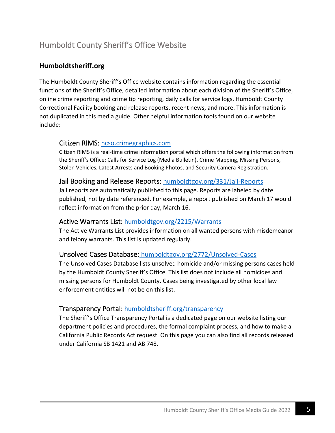#### Humboldt County Sheriff's Office Website

#### **Humboldtsheriff.org**

The Humboldt County Sheriff's Office website contains information regarding the essential functions of the Sheriff's Office, detailed information about each division of the Sheriff's Office, online crime reporting and crime tip reporting, daily calls for service logs, Humboldt County Correctional Facility booking and release reports, recent news, and more. This information is not duplicated in this media guide. Other helpful information tools found on our website include:

#### Citizen RIMS: [hcso.crimegraphics.com](file://///CTY-FS-01/Sheriff/users/skarges1/Documents/MEDIA/media%20guide/hcso.crimegraphics.com)

Citizen RIMS is a real-time crime information portal which offers the following information from the Sheriff's Office: Calls for Service Log (Media Bulletin), Crime Mapping, Missing Persons, Stolen Vehicles, Latest Arrests and Booking Photos, and Security Camera Registration.

#### Jail Booking and Release Reports: [humboldtgov.org/331/Jail-Reports](https://humboldtgov.org/331/Jail-Reports)

Jail reports are automatically published to this page. Reports are labeled by date published, not by date referenced. For example, a report published on March 17 would reflect information from the prior day, March 16.

#### Active Warrants List: [humboldtgov.org/2215/Warrants](https://humboldtgov.org/2215/Warrants)

The Active Warrants List provides information on all wanted persons with misdemeanor and felony warrants. This list is updated regularly.

#### Unsolved Cases Database: [humboldtgov.org/2772/Unsolved-Cases](https://humboldtgov.org/2772/Unsolved-Cases)

The Unsolved Cases Database lists unsolved homicide and/or missing persons cases held by the Humboldt County Sheriff's Office. This list does not include all homicides and missing persons for Humboldt County. Cases being investigated by other local law enforcement entities will not be on this list.

#### Transparency Portal: [humboldtsheriff.org/transparency](https://humboldtgov.org/2786/Transparency)

The Sheriff's Office Transparency Portal is a dedicated page on our website listing our department policies and procedures, the formal complaint process, and how to make a California Public Records Act request. On this page you can also find all records released under California SB 1421 and AB 748.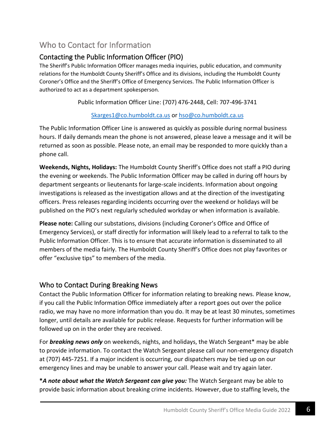#### Who to Contact for Information

#### Contacting the Public Information Officer (PIO)

The Sheriff's Public Information Officer manages media inquiries, public education, and community relations for the Humboldt County Sheriff's Office and its divisions, including the Humboldt County Coroner's Office and the Sheriff's Office of Emergency Services. The Public Information Officer is authorized to act as a department spokesperson.

Public Information Officer Line: (707) 476-2448, Cell: 707-496-3741

[Skarges1@co.humboldt.ca.us](mailto:Skarges1@co.humboldt.ca.us) or [hso@co.humboldt.ca.us](mailto:hso@co.humboldt.ca.us)

The Public Information Officer Line is answered as quickly as possible during normal business hours. If daily demands mean the phone is not answered, please leave a message and it will be returned as soon as possible. Please note, an email may be responded to more quickly than a phone call.

**Weekends, Nights, Holidays:** The Humboldt County Sheriff's Office does not staff a PIO during the evening or weekends. The Public Information Officer may be called in during off hours by department sergeants or lieutenants for large-scale incidents. Information about ongoing investigations is released as the investigation allows and at the direction of the investigating officers. Press releases regarding incidents occurring over the weekend or holidays will be published on the PIO's next regularly scheduled workday or when information is available.

**Please note:** Calling our substations, divisions (including Coroner's Office and Office of Emergency Services), or staff directly for information will likely lead to a referral to talk to the Public Information Officer. This is to ensure that accurate information is disseminated to all members of the media fairly. The Humboldt County Sheriff's Office does not play favorites or offer "exclusive tips" to members of the media.

#### Who to Contact During Breaking News

Contact the Public Information Officer for information relating to breaking news. Please know, if you call the Public Information Office immediately after a report goes out over the police radio, we may have no more information than you do. It may be at least 30 minutes, sometimes longer, until details are available for public release. Requests for further information will be followed up on in the order they are received.

For *breaking news only* on weekends, nights, and holidays, the Watch Sergeant\* may be able to provide information. To contact the Watch Sergeant please call our non-emergency dispatch at (707) 445-7251. If a major incident is occurring, our dispatchers may be tied up on our emergency lines and may be unable to answer your call. Please wait and try again later.

**\****A note about what the Watch Sergeant can give you:* The Watch Sergeant may be able to provide basic information about breaking crime incidents. However, due to staffing levels, the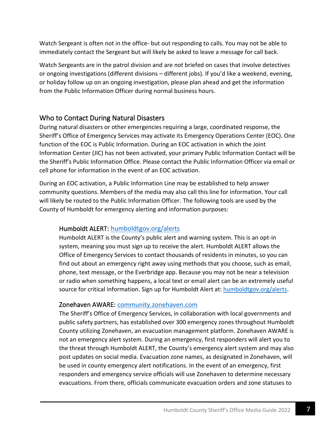Watch Sergeant is often not in the office- but out responding to calls. You may not be able to immediately contact the Sergeant but will likely be asked to leave a message for call back.

Watch Sergeants are in the patrol division and are *not* briefed on cases that involve detectives or ongoing investigations (different divisions – different jobs). If you'd like a weekend, evening, or holiday follow up on an ongoing investigation, please plan ahead and get the information from the Public Information Officer during normal business hours.

#### Who to Contact During Natural Disasters

During natural disasters or other emergencies requiring a large, coordinated response, the Sheriff's Office of Emergency Services may activate its Emergency Operations Center (EOC). One function of the EOC is Public Information. During an EOC activation in which the Joint Information Center (JIC) has not been activated, your primary Public Information Contact will be the Sheriff's Public Information Office. Please contact the Public Information Officer via email or cell phone for information in the event of an EOC activation.

During an EOC activation, a Public Information Line may be established to help answer community questions. Members of the media may also call this line for information. Your call will likely be routed to the Public Information Officer. The following tools are used by the County of Humboldt for emergency alerting and information purposes:

#### Humboldt ALERT: [humboldtgov.org/alerts](https://humboldtgov.org/2014/Emergency-Notifications)

Humboldt ALERT is the County's public alert and warning system. This is an opt-in system, meaning you must sign up to receive the alert. Humboldt ALERT allows the Office of Emergency Services to contact thousands of residents in minutes, so you can find out about an emergency right away using methods that you choose, such as email, phone, text message, or the Everbridge app. Because you may not be near a television or radio when something happens, a local text or email alert can be an extremely useful source for critical information. Sign up for Humboldt Alert at: [humboldtgov.org/alerts.](https://humboldtgov.org/2014/Emergency-Notifications)

#### Zonehaven AWARE: [community.zonehaven.com](https://community.zonehaven.com/?latlon=40.7323141780935,-123.45385118861384&z=8.013323478670277)

The Sheriff's Office of Emergency Services, in collaboration with local governments and public safety partners, has established over 300 emergency zones throughout Humboldt County utilizing Zonehaven, an evacuation management platform. Zonehaven AWARE is not an emergency alert system. During an emergency, first responders will alert you to the threat through Humboldt ALERT, the County's emergency alert system and may also post updates on social media. Evacuation zone names, as designated in Zonehaven, will be used in county emergency alert notifications. In the event of an emergency, first responders and emergency service officials will use Zonehaven to determine necessary evacuations. From there, officials communicate evacuation orders and zone statuses to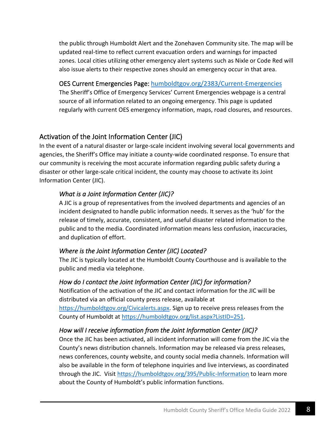the public through Humboldt Alert and the Zonehaven Community site. The map will be updated real-time to reflect current evacuation orders and warnings for impacted zones. Local cities utilizing other emergency alert systems such as Nixle or Code Red will also issue alerts to their respective zones should an emergency occur in that area.

#### OES Current Emergencies Page: [humboldtgov.org/2383/Current-Emergencies](https://humboldtgov.org/2383/Current-Emergencies)

The Sheriff's Office of Emergency Services' Current Emergencies webpage is a central source of all information related to an ongoing emergency. This page is updated regularly with current OES emergency information, maps, road closures, and resources.

#### Activation of the Joint Information Center (JIC)

In the event of a natural disaster or large-scale incident involving several local governments and agencies, the Sheriff's Office may initiate a county-wide coordinated response. To ensure that our community is receiving the most accurate information regarding public safety during a disaster or other large-scale critical incident, the county may choose to activate its Joint Information Center (JIC).

#### *What is a Joint Information Center (JIC)?*

A JIC is a group of representatives from the involved departments and agencies of an incident designated to handle public information needs. It serves as the 'hub' for the release of timely, accurate, consistent, and useful disaster related information to the public and to the media. Coordinated information means less confusion, inaccuracies, and duplication of effort.

#### *Where is the Joint Information Center (JIC) Located?*

The JIC is typically located at the Humboldt County Courthouse and is available to the public and media via telephone.

#### *How do I contact the Joint Information Center (JIC) for information?*

Notification of the activation of the JIC and contact information for the JIC will be distributed via an official county press release, available at [https://humboldtgov.org/Civicalerts.aspx.](https://humboldtgov.org/Civicalerts.aspx) Sign up to receive press releases from the County of Humboldt at [https://humboldtgov.org/list.aspx?ListID=251.](https://humboldtgov.org/list.aspx?ListID=251)

#### *How will I receive information from the Joint Information Center (JIC)?*

Once the JIC has been activated, all incident information will come from the JIC via the County's news distribution channels. Information may be released via press releases, news conferences, county website, and county social media channels. Information will also be available in the form of telephone inquiries and live interviews, as coordinated through the JIC. Visit<https://humboldtgov.org/395/Public-Information> to learn more about the County of Humboldt's public information functions.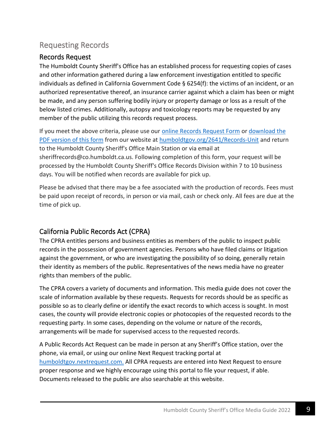#### Requesting Records

#### Records Request

The Humboldt County Sheriff's Office has an established process for requesting copies of cases and other information gathered during a law enforcement investigation entitled to specific individuals as defined in California Government Code § 6254(f): the victims of an incident, or an authorized representative thereof, an insurance carrier against which a claim has been or might be made, and any person suffering bodily injury or property damage or loss as a result of the below listed crimes. Additionally, autopsy and toxicology reports may be requested by any member of the public utilizing this records request process.

If you meet the above criteria, please use our [online Records Request Form](https://humboldtgov.org/FormCenter/Sheriffs-Office-7/Request-for-Records-Form-189) or [download the](https://humboldtgov.org/DocumentCenter/View/789)  [PDF version of this form](https://humboldtgov.org/DocumentCenter/View/789) from our website at [humboldtgov.org/2641/Records-Unit](https://humboldtgov.org/2641/Records-Unit) and return to the Humboldt County Sheriff's Office Main Station or via email at sheriffrecords@co.humboldt.ca.us. Following completion of this form, your request will be processed by the Humboldt County Sheriff's Office Records Division within 7 to 10 business days. You will be notified when records are available for pick up.

Please be advised that there may be a fee associated with the production of records. Fees must be paid upon receipt of records, in person or via mail, cash or check only. All fees are due at the time of pick up.

#### California Public Records Act (CPRA)

The CPRA entitles persons and business entities as members of the public to inspect public records in the possession of government agencies. Persons who have filed claims or litigation against the government, or who are investigating the possibility of so doing, generally retain their identity as members of the public. Representatives of the news media have no greater rights than members of the public.

The CPRA covers a variety of documents and information. This media guide does not cover the scale of information available by these requests. Requests for records should be as specific as possible so as to clearly define or identify the exact records to which access is sought. In most cases, the county will provide electronic copies or photocopies of the requested records to the requesting party. In some cases, depending on the volume or nature of the records, arrangements will be made for supervised access to the requested records.

A Public Records Act Request can be made in person at any Sheriff's Office station, over the phone, via email, or using our online Next Request tracking portal at [humboldtgov.nextrequest.com.](https://humboldtgov.nextrequest.com/) All CPRA requests are entered into Next Request to ensure proper response and we highly encourage using this portal to file your request, if able. Documents released to the public are also searchable at this website.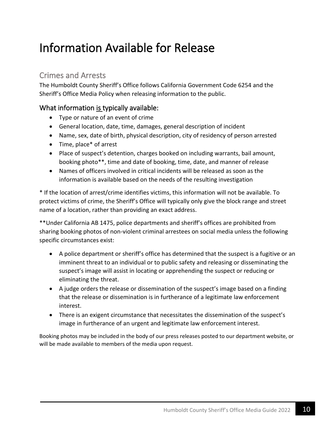## Information Available for Release

#### Crimes and Arrests

The Humboldt County Sheriff's Office follows California Government Code 6254 and the Sheriff's Office Media Policy when releasing information to the public.

#### What information is typically available:

- Type or nature of an event of crime
- General location, date, time, damages, general description of incident
- Name, sex, date of birth, physical description, city of residency of person arrested
- Time, place\* of arrest
- Place of suspect's detention, charges booked on including warrants, bail amount, booking photo\*\*, time and date of booking, time, date, and manner of release
- Names of officers involved in critical incidents will be released as soon as the information is available based on the needs of the resulting investigation

\* If the location of arrest/crime identifies victims, this information will not be available. To protect victims of crime, the Sheriff's Office will typically only give the block range and street name of a location, rather than providing an exact address.

\*\*Under California AB 1475, police departments and sheriff's offices are prohibited from sharing booking photos of non-violent criminal arrestees on social media unless the following specific circumstances exist:

- A police department or sheriff's office has determined that the suspect is a fugitive or an imminent threat to an individual or to public safety and releasing or disseminating the suspect's image will assist in locating or apprehending the suspect or reducing or eliminating the threat.
- A judge orders the release or dissemination of the suspect's image based on a finding that the release or dissemination is in furtherance of a legitimate law enforcement interest.
- There is an exigent circumstance that necessitates the dissemination of the suspect's image in furtherance of an urgent and legitimate law enforcement interest.

Booking photos may be included in the body of our press releases posted to our department website, or will be made available to members of the media upon request.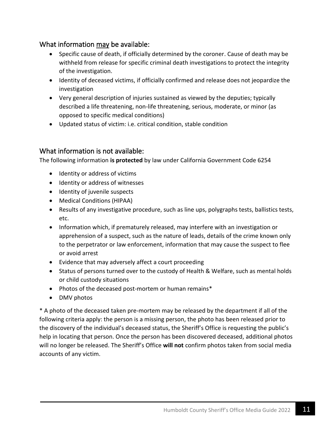#### What information may be available:

- Specific cause of death, if officially determined by the coroner. Cause of death may be withheld from release for specific criminal death investigations to protect the integrity of the investigation.
- Identity of deceased victims, if officially confirmed and release does not jeopardize the investigation
- Very general description of injuries sustained as viewed by the deputies; typically described a life threatening, non-life threatening, serious, moderate, or minor (as opposed to specific medical conditions)
- Updated status of victim: i.e. critical condition, stable condition

#### What information is not available:

The following information **is protected** by law under California Government Code 6254

- Identity or address of victims
- Identity or address of witnesses
- Identity of juvenile suspects
- Medical Conditions (HIPAA)
- Results of any investigative procedure, such as line ups, polygraphs tests, ballistics tests, etc.
- Information which, if prematurely released, may interfere with an investigation or apprehension of a suspect, such as the nature of leads, details of the crime known only to the perpetrator or law enforcement, information that may cause the suspect to flee or avoid arrest
- Evidence that may adversely affect a court proceeding
- Status of persons turned over to the custody of Health & Welfare, such as mental holds or child custody situations
- Photos of the deceased post-mortem or human remains\*
- DMV photos

\* A photo of the deceased taken pre-mortem may be released by the department if all of the following criteria apply: the person is a missing person, the photo has been released prior to the discovery of the individual's deceased status, the Sheriff's Office is requesting the public's help in locating that person. Once the person has been discovered deceased, additional photos will no longer be released. The Sheriff's Office **will not** confirm photos taken from social media accounts of any victim.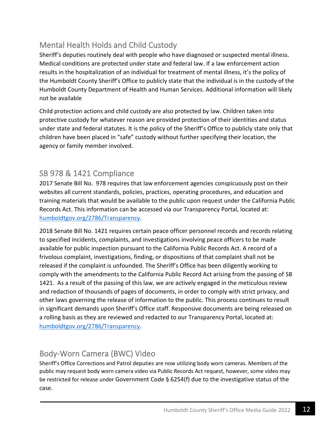#### Mental Health Holds and Child Custody

Sheriff's deputies routinely deal with people who have diagnosed or suspected mental illness. Medical conditions are protected under state and federal law. If a law enforcement action results in the hospitalization of an individual for treatment of mental illness, it's the policy of the Humboldt County Sheriff's Office to publicly state that the individual is in the custody of the Humboldt County Department of Health and Human Services. Additional information will likely not be available

Child protection actions and child custody are also protected by law. Children taken into protective custody for whatever reason are provided protection of their identities and status under state and federal statutes. It is the policy of the Sheriff's Office to publicly state only that children have been placed in "safe" custody without further specifying their location, the agency or family member involved.

#### SB 978 & 1421 Compliance

2017 Senate Bill No. 978 requires that law enforcement agencies conspicuously post on their websites all current standards, policies, practices, operating procedures, and education and training materials that would be available to the public upon request under the California Public Records Act. This information can be accessed via our Transparency Portal, located at: [humboldtgov.org/2786/Transparency.](https://humboldtgov.org/2786/Transparency)

2018 Senate Bill No. 1421 requires certain peace officer personnel records and records relating to specified incidents, complaints, and investigations involving peace officers to be made available for public inspection pursuant to the California Public Records Act. A record of a frivolous complaint, investigations, finding, or dispositions of that complaint shall not be released if the complaint is unfounded. The Sheriff's Office has been diligently working to comply with the amendments to the California Public Record Act arising from the passing of SB 1421. As a result of the passing of this law, we are actively engaged in the meticulous review and redaction of thousands of pages of documents, in order to comply with strict privacy, and other laws governing the release of information to the public. This process continues to result in significant demands upon Sheriff's Office staff. Responsive documents are being released on a rolling basis as they are reviewed and redacted to our Transparency Portal, located at: [humboldtgov.org/2786/Transparency.](https://humboldtgov.org/2786/Transparency)

#### Body-Worn Camera (BWC) Video

Sheriff's Office Corrections and Patrol deputies are now utilizing body worn cameras. Members of the public may request body worn camera video via Public Records Act request, however, some video may be restricted for release under Government Code § 6254(f) due to the investigative status of the case.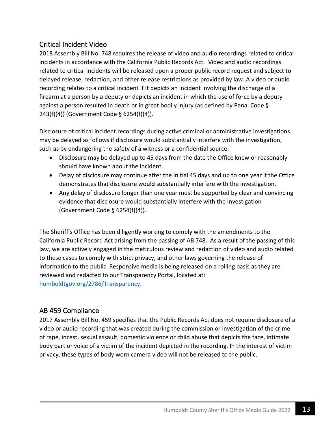#### Critical Incident Video

2018 Assembly Bill No. 748 requires the release of video and audio recordings related to critical incidents in accordance with the California Public Records Act. Video and audio recordings related to critical incidents will be released upon a proper public record request and subject to delayed release, redaction, and other release restrictions as provided by law. A video or audio recording relates to a critical incident if it depicts an incident involving the discharge of a firearm at a person by a deputy or depicts an incident in which the use of force by a deputy against a person resulted in death or in great bodily injury (as defined by Penal Code § 243(f)(4)) (Government Code § 6254(f)(4)).

Disclosure of critical incident recordings during active criminal or administrative investigations may be delayed as follows if disclosure would substantially interfere with the investigation, such as by endangering the safety of a witness or a confidential source:

- Disclosure may be delayed up to 45 days from the date the Office knew or reasonably should have known about the incident.
- Delay of disclosure may continue after the initial 45 days and up to one year if the Office demonstrates that disclosure would substantially interfere with the investigation.
- Any delay of disclosure longer than one year must be supported by clear and convincing evidence that disclosure would substantially interfere with the investigation (Government Code § 6254(f)(4)).

The Sheriff's Office has been diligently working to comply with the amendments to the California Public Record Act arising from the passing of AB 748. As a result of the passing of this law, we are actively engaged in the meticulous review and redaction of video and audio related to these cases to comply with strict privacy, and other laws governing the release of information to the public. Responsive media is being released on a rolling basis as they are reviewed and redacted to our Transparency Portal, located at: [humboldtgov.org/2786/Transparency.](https://humboldtgov.org/2786/Transparency)

#### AB 459 Compliance

2017 Assembly Bill No. 459 specifies that the Public Records Act does not require disclosure of a video or audio recording that was created during the commission or investigation of the crime of rape, incest, sexual assault, domestic violence or child abuse that depicts the face, intimate body part or voice of a victim of the incident depicted in the recording. In the interest of victim privacy, these types of body worn camera video will not be released to the public.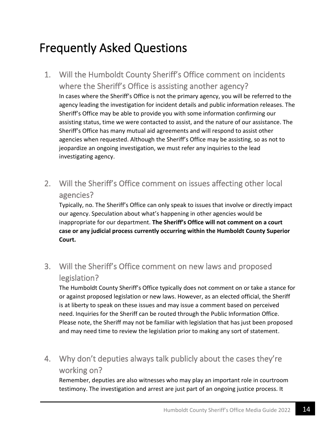## Frequently Asked Questions

- 1. Will the Humboldt County Sheriff's Office comment on incidents where the Sheriff's Office is assisting another agency? In cases where the Sheriff's Office is not the primary agency, you will be referred to the agency leading the investigation for incident details and public information releases. The Sheriff's Office may be able to provide you with some information confirming our assisting status, time we were contacted to assist, and the nature of our assistance. The Sheriff's Office has many mutual aid agreements and will respond to assist other agencies when requested. Although the Sheriff's Office may be assisting, so as not to jeopardize an ongoing investigation, we must refer any inquiries to the lead investigating agency.
- 2. Will the Sheriff's Office comment on issues affecting other local agencies?

Typically, no. The Sheriff's Office can only speak to issues that involve or directly impact our agency. Speculation about what's happening in other agencies would be inappropriate for our department. **The Sheriff's Office will not comment on a court case or any judicial process currently occurring within the Humboldt County Superior Court.**

3. Will the Sheriff's Office comment on new laws and proposed legislation?

The Humboldt County Sheriff's Office typically does not comment on or take a stance for or against proposed legislation or new laws. However, as an elected official, the Sheriff is at liberty to speak on these issues and may issue a comment based on perceived need. Inquiries for the Sheriff can be routed through the Public Information Office. Please note, the Sheriff may not be familiar with legislation that has just been proposed and may need time to review the legislation prior to making any sort of statement.

4. Why don't deputies always talk publicly about the cases they're working on?

Remember, deputies are also witnesses who may play an important role in courtroom testimony. The investigation and arrest are just part of an ongoing justice process. It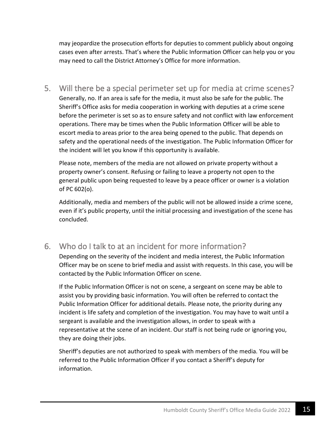may jeopardize the prosecution efforts for deputies to comment publicly about ongoing cases even after arrests. That's where the Public Information Officer can help you or you may need to call the District Attorney's Office for more information.

5. Will there be a special perimeter set up for media at crime scenes? Generally, no. If an area is safe for the media, it must also be safe for the public. The Sheriff's Office asks for media cooperation in working with deputies at a crime scene before the perimeter is set so as to ensure safety and not conflict with law enforcement operations. There may be times when the Public Information Officer will be able to escort media to areas prior to the area being opened to the public. That depends on safety and the operational needs of the investigation. The Public Information Officer for the incident will let you know if this opportunity is available.

Please note, members of the media are not allowed on private property without a property owner's consent. Refusing or failing to leave a property not open to the general public upon being requested to leave by a peace officer or owner is a violation of PC 602(o).

Additionally, media and members of the public will not be allowed inside a crime scene, even if it's public property, until the initial processing and investigation of the scene has concluded.

#### 6. Who do I talk to at an incident for more information?

Depending on the severity of the incident and media interest, the Public Information Officer may be on scene to brief media and assist with requests. In this case, you will be contacted by the Public Information Officer on scene.

If the Public Information Officer is not on scene, a sergeant on scene may be able to assist you by providing basic information. You will often be referred to contact the Public Information Officer for additional details. Please note, the priority during any incident is life safety and completion of the investigation. You may have to wait until a sergeant is available and the investigation allows, in order to speak with a representative at the scene of an incident. Our staff is not being rude or ignoring you, they are doing their jobs.

Sheriff's deputies are not authorized to speak with members of the media. You will be referred to the Public Information Officer if you contact a Sheriff's deputy for information.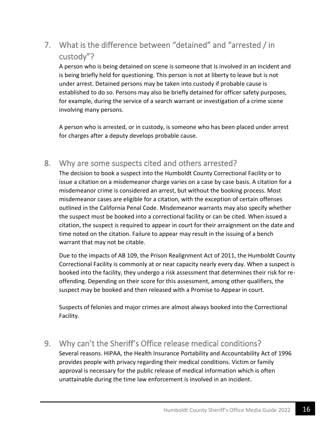#### 7. What is the difference between "detained" and "arrested / in custody"?

A person who is being detained on scene is someone that is involved in an incident and is being briefly held for questioning. This person is not at liberty to leave but is not under arrest. Detained persons may be taken into custody if probable cause is established to do so. Persons may also be briefly detained for officer safety purposes, for example, during the service of a search warrant or investigation of a crime scene involving many persons.

A person who is arrested, or in custody, is someone who has been placed under arrest for charges after a deputy develops probable cause.

#### 8. Why are some suspects cited and others arrested?

The decision to book a suspect into the Humboldt County Correctional Facility or to issue a citation on a misdemeanor charge varies on a case by case basis. A citation for a misdemeanor crime is considered an arrest, but without the booking process. Most misdemeanor cases are eligible for a citation, with the exception of certain offenses outlined in the California Penal Code. Misdemeanor warrants may also specify whether the suspect must be booked into a correctional facility or can be cited. When issued a citation, the suspect is required to appear in court for their arraignment on the date and time noted on the citation. Failure to appear may result in the issuing of a bench warrant that may not be citable.

Due to the impacts of AB 109, the Prison Realignment Act of 2011, the Humboldt County Correctional Facility is commonly at or near capacity nearly every day. When a suspect is booked into the facility, they undergo a risk assessment that determines their risk for reoffending. Depending on their score for this assessment, among other qualifiers, the suspect may be booked and then released with a Promise to Appear in court.

Suspects of felonies and major crimes are almost always booked into the Correctional Facility.

#### 9. Why can't the Sheriff's Office release medical conditions?

Several reasons. HIPAA, the Health Insurance Portability and Accountability Act of 1996 provides people with privacy regarding their medical conditions. Victim or family approval is necessary for the public release of medical information which is often unattainable during the time law enforcement is involved in an incident.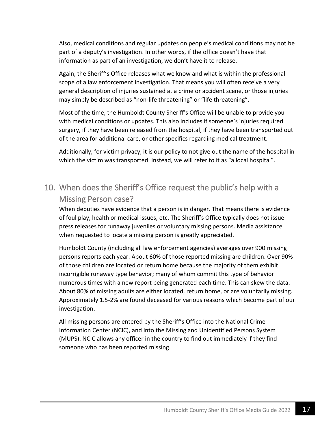Also, medical conditions and regular updates on people's medical conditions may not be part of a deputy's investigation. In other words, if the office doesn't have that information as part of an investigation, we don't have it to release.

Again, the Sheriff's Office releases what we know and what is within the professional scope of a law enforcement investigation. That means you will often receive a very general description of injuries sustained at a crime or accident scene, or those injuries may simply be described as "non-life threatening" or "life threatening".

Most of the time, the Humboldt County Sheriff's Office will be unable to provide you with medical conditions or updates. This also includes if someone's injuries required surgery, if they have been released from the hospital, if they have been transported out of the area for additional care, or other specifics regarding medical treatment.

Additionally, for victim privacy, it is our policy to not give out the name of the hospital in which the victim was transported. Instead, we will refer to it as "a local hospital".

#### 10. When does the Sheriff's Office request the public's help with a Missing Person case?

When deputies have evidence that a person is in danger. That means there is evidence of foul play, health or medical issues, etc. The Sheriff's Office typically does not issue press releases for runaway juveniles or voluntary missing persons. Media assistance when requested to locate a missing person is greatly appreciated.

Humboldt County (including all law enforcement agencies) averages over 900 missing persons reports each year. About 60% of those reported missing are children. Over 90% of those children are located or return home because the majority of them exhibit incorrigible runaway type behavior; many of whom commit this type of behavior numerous times with a new report being generated each time. This can skew the data. About 80% of missing adults are either located, return home, or are voluntarily missing. Approximately 1.5-2% are found deceased for various reasons which become part of our investigation.

All missing persons are entered by the Sheriff's Office into the National Crime Information Center (NCIC), and into the Missing and Unidentified Persons System (MUPS). NCIC allows any officer in the country to find out immediately if they find someone who has been reported missing.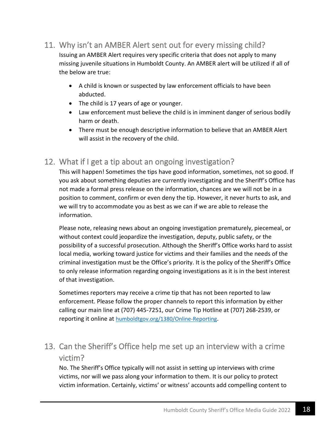#### 11. Why isn't an AMBER Alert sent out for every missing child?

Issuing an AMBER Alert requires very specific criteria that does not apply to many missing juvenile situations in Humboldt County. An AMBER alert will be utilized if all of the below are true:

- A child is known or suspected by law enforcement officials to have been abducted.
- The child is 17 years of age or younger.
- Law enforcement must believe the child is in imminent danger of serious bodily harm or death.
- There must be enough descriptive information to believe that an AMBER Alert will assist in the recovery of the child.

#### 12. What if I get a tip about an ongoing investigation?

This will happen! Sometimes the tips have good information, sometimes, not so good. If you ask about something deputies are currently investigating and the Sheriff's Office has not made a formal press release on the information, chances are we will not be in a position to comment, confirm or even deny the tip. However, it never hurts to ask, and we will try to accommodate you as best as we can if we are able to release the information.

Please note, releasing news about an ongoing investigation prematurely, piecemeal, or without context could jeopardize the investigation, deputy, public safety, or the possibility of a successful prosecution. Although the Sheriff's Office works hard to assist local media, working toward justice for victims and their families and the needs of the criminal investigation must be the Office's priority. It is the policy of the Sheriff's Office to only release information regarding ongoing investigations as it is in the best interest of that investigation.

Sometimes reporters may receive a crime tip that has not been reported to law enforcement. Please follow the proper channels to report this information by either calling our main line at (707) 445-7251, our Crime Tip Hotline at (707) 268-2539, or reporting it online at [humboldtgov.org/1380/Online-Reporting](https://humboldtgov.org/1380/Online-Reporting).

#### 13. Can the Sheriff's Office help me set up an interview with a crime victim?

No. The Sheriff's Office typically will not assist in setting up interviews with crime victims, nor will we pass along your information to them. It is our policy to protect victim information. Certainly, victims' or witness' accounts add compelling content to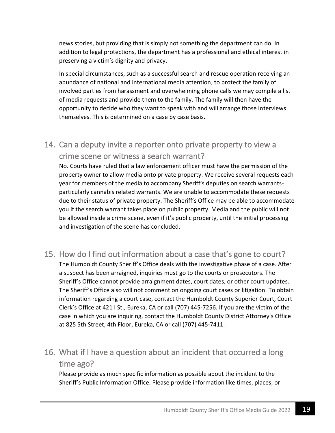news stories, but providing that is simply not something the department can do. In addition to legal protections, the department has a professional and ethical interest in preserving a victim's dignity and privacy.

In special circumstances, such as a successful search and rescue operation receiving an abundance of national and international media attention, to protect the family of involved parties from harassment and overwhelming phone calls we may compile a list of media requests and provide them to the family. The family will then have the opportunity to decide who they want to speak with and will arrange those interviews themselves. This is determined on a case by case basis.

#### 14. Can a deputy invite a reporter onto private property to view a crime scene or witness a search warrant?

No. Courts have ruled that a law enforcement officer must have the permission of the property owner to allow media onto private property. We receive several requests each year for members of the media to accompany Sheriff's deputies on search warrantsparticularly cannabis related warrants. We are unable to accommodate these requests due to their status of private property. The Sheriff's Office may be able to accommodate you if the search warrant takes place on public property. Media and the public will not be allowed inside a crime scene, even if it's public property, until the initial processing and investigation of the scene has concluded.

15. How do I find out information about a case that's gone to court? The Humboldt County Sheriff's Office deals with the investigative phase of a case. After a suspect has been arraigned, inquiries must go to the courts or prosecutors. The Sheriff's Office cannot provide arraignment dates, court dates, or other court updates. The Sheriff's Office also will not comment on ongoing court cases or litigation. To obtain information regarding a court case, contact the Humboldt County Superior Court, Court Clerk's Office at 421 I St., Eureka, CA or call (707) 445-7256. If you are the victim of the case in which you are inquiring, contact the Humboldt County District Attorney's Office at 825 5th Street, 4th Floor, Eureka, CA or call (707) 445-7411.

#### 16. What if I have a question about an incident that occurred a long time ago?

Please provide as much specific information as possible about the incident to the Sheriff's Public Information Office. Please provide information like times, places, or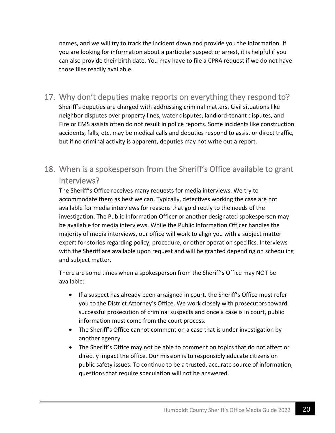names, and we will try to track the incident down and provide you the information. If you are looking for information about a particular suspect or arrest, it is helpful if you can also provide their birth date. You may have to file a CPRA request if we do not have those files readily available.

- 17. Why don't deputies make reports on everything they respond to? Sheriff's deputies are charged with addressing criminal matters. Civil situations like neighbor disputes over property lines, water disputes, landlord-tenant disputes, and Fire or EMS assists often do not result in police reports. Some incidents like construction accidents, falls, etc. may be medical calls and deputies respond to assist or direct traffic, but if no criminal activity is apparent, deputies may not write out a report.
- 18. When is a spokesperson from the Sheriff's Office available to grant interviews?

The Sheriff's Office receives many requests for media interviews. We try to accommodate them as best we can. Typically, detectives working the case are not available for media interviews for reasons that go directly to the needs of the investigation. The Public Information Officer or another designated spokesperson may be available for media interviews. While the Public Information Officer handles the majority of media interviews, our office will work to align you with a subject matter expert for stories regarding policy, procedure, or other operation specifics. Interviews with the Sheriff are available upon request and will be granted depending on scheduling and subject matter.

There are some times when a spokesperson from the Sheriff's Office may NOT be available:

- If a suspect has already been arraigned in court, the Sheriff's Office must refer you to the District Attorney's Office. We work closely with prosecutors toward successful prosecution of criminal suspects and once a case is in court, public information must come from the court process.
- The Sheriff's Office cannot comment on a case that is under investigation by another agency.
- The Sheriff's Office may not be able to comment on topics that do not affect or directly impact the office. Our mission is to responsibly educate citizens on public safety issues. To continue to be a trusted, accurate source of information, questions that require speculation will not be answered.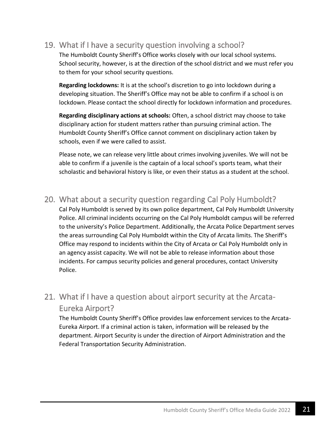#### 19. What if I have a security question involving a school?

The Humboldt County Sheriff's Office works closely with our local school systems. School security, however, is at the direction of the school district and we must refer you to them for your school security questions.

**Regarding lockdowns:** It is at the school's discretion to go into lockdown during a developing situation. The Sheriff's Office may not be able to confirm if a school is on lockdown. Please contact the school directly for lockdown information and procedures.

**Regarding disciplinary actions at schools:** Often, a school district may choose to take disciplinary action for student matters rather than pursuing criminal action. The Humboldt County Sheriff's Office cannot comment on disciplinary action taken by schools, even if we were called to assist.

Please note, we can release very little about crimes involving juveniles. We will not be able to confirm if a juvenile is the captain of a local school's sports team, what their scholastic and behavioral history is like, or even their status as a student at the school.

#### 20. What about a security question regarding Cal Poly Humboldt?

Cal Poly Humboldt is served by its own police department, Cal Poly Humboldt University Police. All criminal incidents occurring on the Cal Poly Humboldt campus will be referred to the university's Police Department. Additionally, the Arcata Police Department serves the areas surrounding Cal Poly Humboldt within the City of Arcata limits. The Sheriff's Office may respond to incidents within the City of Arcata or Cal Poly Humboldt only in an agency assist capacity. We will not be able to release information about those incidents. For campus security policies and general procedures, contact University Police.

#### 21. What if I have a question about airport security at the Arcata-Eureka Airport?

The Humboldt County Sheriff's Office provides law enforcement services to the Arcata-Eureka Airport. If a criminal action is taken, information will be released by the department. Airport Security is under the direction of Airport Administration and the Federal Transportation Security Administration.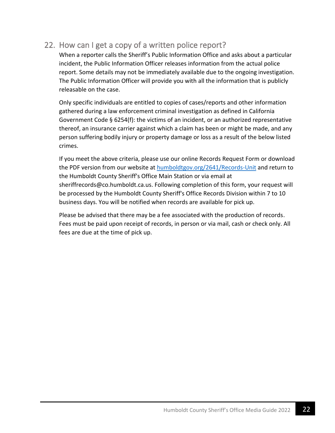#### 22. How can I get a copy of a written police report?

When a reporter calls the Sheriff's Public Information Office and asks about a particular incident, the Public Information Officer releases information from the actual police report. Some details may not be immediately available due to the ongoing investigation. The Public Information Officer will provide you with all the information that is publicly releasable on the case.

Only specific individuals are entitled to copies of cases/reports and other information gathered during a law enforcement criminal investigation as defined in California Government Code § 6254(f): the victims of an incident, or an authorized representative thereof, an insurance carrier against which a claim has been or might be made, and any person suffering bodily injury or property damage or loss as a result of the below listed crimes.

If you meet the above criteria, please use our online Records Request Form or download the PDF version from our website a[t humboldtgov.org/2641/Records-Unit](humboldtgov.org/2641/Records-Unit) and return to the Humboldt County Sheriff's Office Main Station or via email at sheriffrecords@co.humboldt.ca.us. Following completion of this form, your request will be processed by the Humboldt County Sheriff's Office Records Division within 7 to 10 business days. You will be notified when records are available for pick up.

Please be advised that there may be a fee associated with the production of records. Fees must be paid upon receipt of records, in person or via mail, cash or check only. All fees are due at the time of pick up.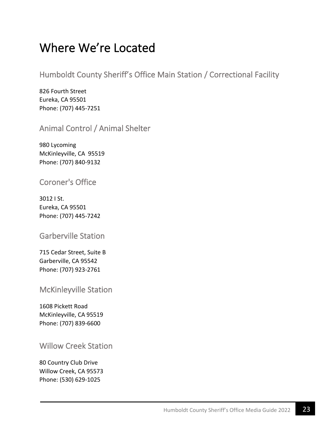## Where We're Located

Humboldt County Sheriff's Office Main Station / Correctional Facility

826 Fourth Street Eureka, CA 95501 Phone: (707) 445-7251

Animal Control / Animal Shelter

980 Lycoming McKinleyville, CA 95519 Phone: (707) 840-9132

#### Coroner's Office

3012 I St. Eureka, CA 95501 Phone: (707) 445-7242

#### Garberville Station

715 Cedar Street, Suite B Garberville, CA 95542 Phone: (707) 923-2761

McKinleyville Station

1608 Pickett Road McKinleyville, CA 95519 Phone: (707) 839-6600

#### Willow Creek Station

80 Country Club Drive Willow Creek, CA 95573 Phone: (530) 629-1025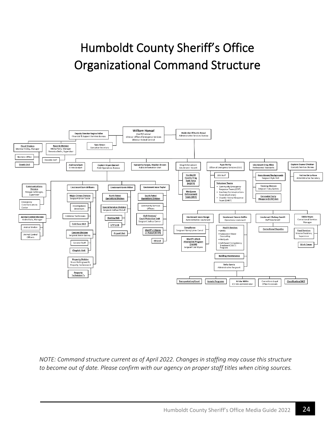## Humboldt County Sheriff's Office Organizational Command Structure



*NOTE: Command structure current as of April 2022. Changes in staffing may cause this structure to become out of date. Please confirm with our agency on proper staff titles when citing sources.*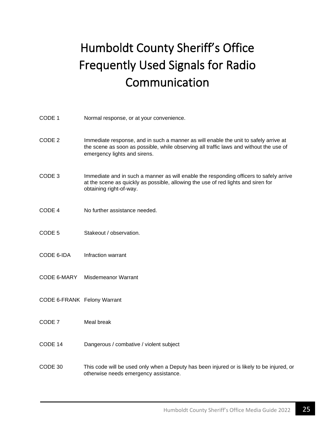## Humboldt County Sheriff's Office Frequently Used Signals for Radio Communication

| CODE 1                      | Normal response, or at your convenience.                                                                                                                                                                       |
|-----------------------------|----------------------------------------------------------------------------------------------------------------------------------------------------------------------------------------------------------------|
| CODE <sub>2</sub>           | Immediate response, and in such a manner as will enable the unit to safely arrive at<br>the scene as soon as possible, while observing all traffic laws and without the use of<br>emergency lights and sirens. |
| CODE <sub>3</sub>           | Immediate and in such a manner as will enable the responding officers to safely arrive<br>at the scene as quickly as possible, allowing the use of red lights and siren for<br>obtaining right-of-way.         |
| CODE 4                      | No further assistance needed.                                                                                                                                                                                  |
| CODE <sub>5</sub>           | Stakeout / observation.                                                                                                                                                                                        |
| CODE 6-IDA                  | Infraction warrant                                                                                                                                                                                             |
| CODE 6-MARY                 | Misdemeanor Warrant                                                                                                                                                                                            |
| CODE 6-FRANK Felony Warrant |                                                                                                                                                                                                                |
| CODE 7                      | Meal break                                                                                                                                                                                                     |
| CODE 14                     | Dangerous / combative / violent subject                                                                                                                                                                        |
| CODE 30                     | This code will be used only when a Deputy has been injured or is likely to be injured, or<br>otherwise needs emergency assistance.                                                                             |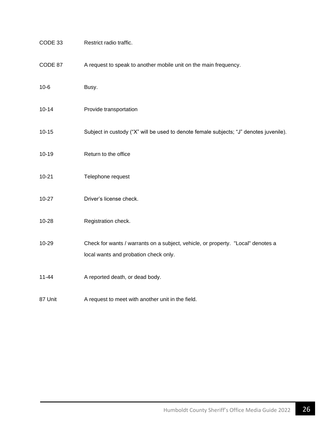| CODE 33   | Restrict radio traffic.                                                                                                   |
|-----------|---------------------------------------------------------------------------------------------------------------------------|
| CODE 87   | A request to speak to another mobile unit on the main frequency.                                                          |
| $10-6$    | Busy.                                                                                                                     |
| $10 - 14$ | Provide transportation                                                                                                    |
| $10 - 15$ | Subject in custody ("X" will be used to denote female subjects; "J" denotes juvenile).                                    |
| $10 - 19$ | Return to the office                                                                                                      |
| $10 - 21$ | Telephone request                                                                                                         |
| $10-27$   | Driver's license check.                                                                                                   |
| 10-28     | Registration check.                                                                                                       |
| 10-29     | Check for wants / warrants on a subject, vehicle, or property. "Local" denotes a<br>local wants and probation check only. |
| $11 - 44$ | A reported death, or dead body.                                                                                           |
| 87 Unit   | A request to meet with another unit in the field.                                                                         |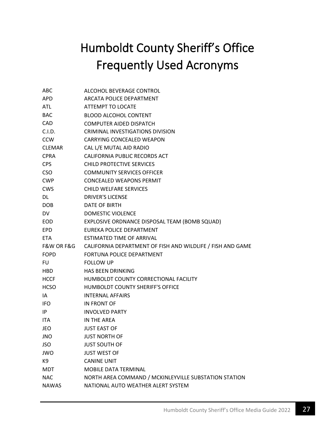## Humboldt County Sheriff's Office Frequently Used Acronyms

| ABC           | ALCOHOL BEVERAGE CONTROL                                   |
|---------------|------------------------------------------------------------|
| <b>APD</b>    | <b>ARCATA POLICE DEPARTMENT</b>                            |
| ATL           | ATTEMPT TO LOCATE                                          |
| BAC           | <b>BLOOD ALCOHOL CONTENT</b>                               |
| CAD           | <b>COMPUTER AIDED DISPATCH</b>                             |
| C.I.D.        | CRIMINAL INVESTIGATIONS DIVISION                           |
| <b>CCW</b>    | CARRYING CONCEALED WEAPON                                  |
| <b>CLEMAR</b> | CAL L/E MUTAL AID RADIO                                    |
| <b>CPRA</b>   | <b>CALIFORNIA PUBLIC RECORDS ACT</b>                       |
| <b>CPS</b>    | <b>CHILD PROTECTIVE SERVICES</b>                           |
| <b>CSO</b>    | <b>COMMUNITY SERVICES OFFICER</b>                          |
| <b>CWP</b>    | <b>CONCEALED WEAPONS PERMIT</b>                            |
| CWS           | <b>CHILD WELFARE SERVICES</b>                              |
| DL            | <b>DRIVER'S LICENSE</b>                                    |
| DOB.          | DATE OF BIRTH                                              |
| DV            | <b>DOMESTIC VIOLENCE</b>                                   |
| EOD           | EXPLOSIVE ORDNANCE DISPOSAL TEAM (BOMB SQUAD)              |
| EPD           | <b>FUREKA POLICE DEPARTMENT</b>                            |
| <b>ETA</b>    | ESTIMATED TIME OF ARRIVAL                                  |
| F&W OR F&G    | CALIFORNIA DEPARTMENT OF FISH AND WILDLIFE / FISH AND GAME |
| <b>FOPD</b>   | FORTUNA POLICE DEPARTMENT                                  |
| FU            | <b>FOLLOW UP</b>                                           |
| HBD           | <b>HAS BEEN DRINKING</b>                                   |
| HCCF          | HUMBOLDT COUNTY CORRECTIONAL FACILITY                      |
| <b>HCSO</b>   | HUMBOLDT COUNTY SHERIFF'S OFFICE                           |
| IA.           | <b>INTERNAL AFFAIRS</b>                                    |
| IFO.          | <b>IN FRONT OF</b>                                         |
| IP.           | <b>INVOLVED PARTY</b>                                      |
| ITA           | IN THE AREA                                                |
| JEO           | <b>JUST EAST OF</b>                                        |
| JNO           | <b>JUST NORTH OF</b>                                       |
| JSO           | <b>JUST SOUTH OF</b>                                       |
| JWO           | <b>JUST WEST OF</b>                                        |
| K9            | <b>CANINE UNIT</b>                                         |
| <b>MDT</b>    | <b>MOBILE DATA TERMINAL</b>                                |
| <b>NAC</b>    | NORTH AREA COMMAND / MCKINLEYVILLE SUBSTATION STATION      |
| <b>NAWAS</b>  | NATIONAL AUTO WEATHER ALERT SYSTEM                         |
|               |                                                            |